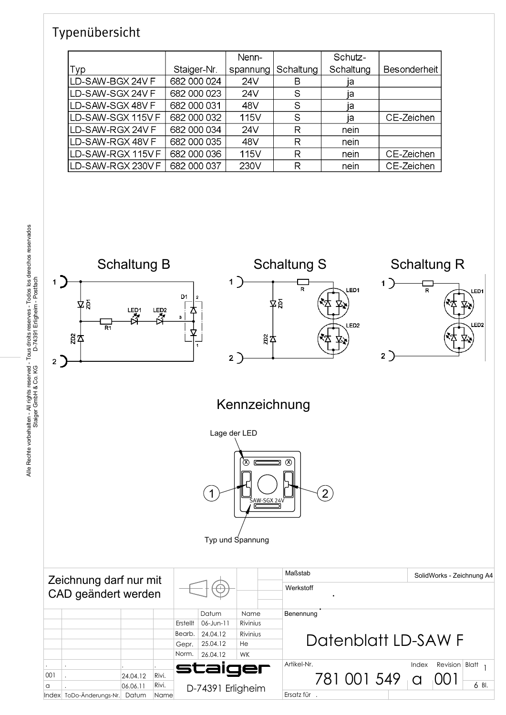### Typenübersicht

Index ToDo-Änderungs-Nr. Datum Name

|                    |             | Nenn-    |           | Schutz-   |                     |
|--------------------|-------------|----------|-----------|-----------|---------------------|
| Typ                | Staiger-Nr. | spannung | Schaltung | Schaltung | <b>Besonderheit</b> |
| LD-SAW-BGX 24V F   | 682 000 024 | 24V      | в         | ļа        |                     |
| ILD-SAW-SGX 24V F  | 682 000 023 | 24V      | S         | ۱a        |                     |
| ILD-SAW-SGX 48V F  | 682 000 031 | 48V      | S         | ıа        |                     |
| ILD-SAW-SGX 115V F | 682 000 032 | 115V     | S         | ıа        | CE-Zeichen          |
| ILD-SAW-RGX 24V F  | 682 000 034 | 24V      | R         | nein      |                     |
| ILD-SAW-RGX 48V F  | 682 000 035 | 48V      | R         | nein      |                     |
| ILD-SAW-RGX 115V F | 682 000 036 | 115V     | R         | nein      | CE-Zeichen          |
| LD-SAW-RGX 230V F  | 682 000 037 | 230V     | R         | nein      | CE-Zeichen          |



Ersatz für .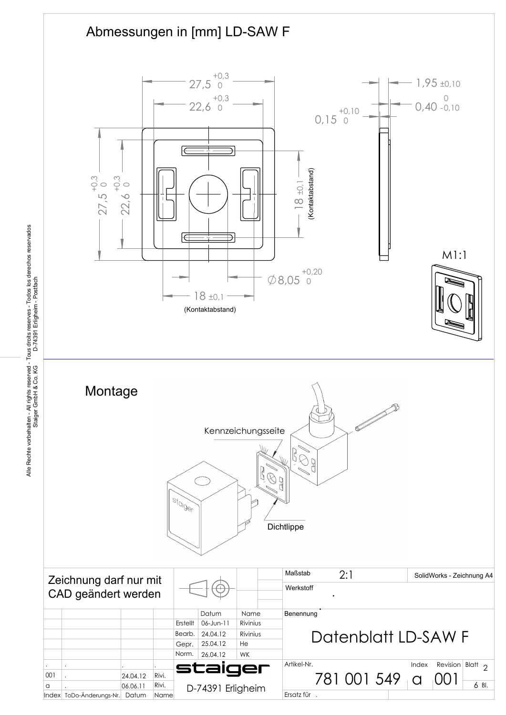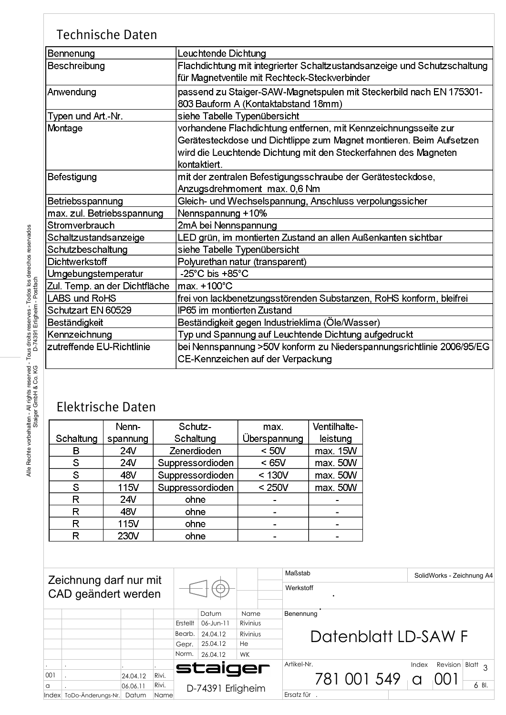### Technische Daten

| Bennenung                     | Leuchtende Dichtung                                                      |
|-------------------------------|--------------------------------------------------------------------------|
| Beschreibung                  | Flachdichtung mit integrierter Schaltzustandsanzeige und Schutzschaltung |
|                               | für Magnetventile mit Rechteck-Steckverbinder                            |
| Anwendung                     | passend zu Staiger-SAW-Magnetspulen mit Steckerbild nach EN 175301-      |
|                               | 803 Bauform A (Kontaktabstand 18mm)                                      |
| Typen und Art.-Nr.            | siehe Tabelle Typenübersicht                                             |
| Montage                       | vorhandene Flachdichtung entfernen, mit Kennzeichnungsseite zur          |
|                               | Gerätesteckdose und Dichtlippe zum Magnet montieren. Beim Aufsetzen      |
|                               | wird die Leuchtende Dichtung mit den Steckerfahnen des Magneten          |
|                               | kontaktiert.                                                             |
| Befestigung                   | mit der zentralen Befestigungsschraube der Gerätesteckdose,              |
|                               | Anzugsdrehmoment max. 0,6 Nm                                             |
| Betriebsspannung              | Gleich- und Wechselspannung, Anschluss verpolungssicher                  |
| max. zul. Betriebsspannung    | Nennspannung +10%                                                        |
| Stromverbrauch                | 2mA bei Nennspannung                                                     |
| Schaltzustandsanzeige         | LED grün, im montierten Zustand an allen Außenkanten sichtbar            |
| Schutzbeschaltung             | siehe Tabelle Typenübersicht                                             |
| <b>Dichtwerkstoff</b>         | Polyurethan natur (transparent)                                          |
| Umgebungstemperatur           | $-25^{\circ}$ C bis $+85^{\circ}$ C                                      |
| Zul. Temp. an der Dichtfläche | lmax. +100°C                                                             |
| LABS und RoHS                 | frei von lackbenetzungsstörenden Substanzen, RoHS konform, bleifrei      |
| Schutzart EN 60529            | IP65 im montierten Zustand                                               |
| Beständigkeit                 | Beständigkeit gegen Industrieklima (Öle/Wasser)                          |
| Kennzeichnung                 | Typ und Spannung auf Leuchtende Dichtung aufgedruckt                     |
| zutreffende EU-Richtlinie     | bei Nennspannung >50V konform zu Niederspannungsrichtlinie 2006/95/EG    |
|                               | CE-Kennzeichen auf der Verpackung                                        |
|                               |                                                                          |

# Elektrische Daten

|           | Nenn-    | Schutz-          | max.         | Ventilhalte- |
|-----------|----------|------------------|--------------|--------------|
| Schaltung | spannung | Schaltung        | Überspannung | leistung     |
| В         | 24V      | Zenerdioden      | < 50V        | max. 15W     |
| S         | 24V      | Suppressordioden | < 65V        | max. 50W     |
| S         | 48V      | Suppressordioden | < 130V       | max. 50W     |
| S         | 115V     | Suppressordioden | < 250V       | max. 50W     |
| R         | 24V      | ohne             |              |              |
| R         | 48V      | ohne             |              | -            |
| R         | 115V     | ohne             |              |              |
| R         | 230V     | ohne             |              |              |

| Zeichnung darf nur mit<br>CAD geändert werden |                    |          |                    |          |                            |                     | Maßstab<br>SolidWorks - Zeichnung A4<br>Werkstoff  |
|-----------------------------------------------|--------------------|----------|--------------------|----------|----------------------------|---------------------|----------------------------------------------------|
|                                               |                    |          |                    | Datum    | Name                       | Benennung           |                                                    |
|                                               |                    |          |                    | Erstellt | Rivinius<br>$06 - J$ un-11 |                     |                                                    |
|                                               |                    |          | Bearb.<br>24.04.12 |          | Rivinius                   | Datenblatt LD-SAW F |                                                    |
|                                               |                    |          |                    | Gepr.    | 25.04.12                   | He                  |                                                    |
|                                               |                    |          |                    | Norm.    | 26.04.12                   | <b>WK</b>           |                                                    |
|                                               |                    |          |                    |          | staiger                    |                     | Artikel-Nr.<br>Revision<br>Blatt $\Omega$<br>Index |
| 001                                           |                    | 24.04.12 | Rivi.              |          |                            |                     | 781 001 549                                        |
| a                                             |                    | 06.06.11 | Rivi.              |          | D-74391 Erligheim          |                     | 6 Bl.                                              |
| Index                                         | ToDo-Änderungs-Nr. | Datum    | Name               |          |                            |                     | Ersatz für.                                        |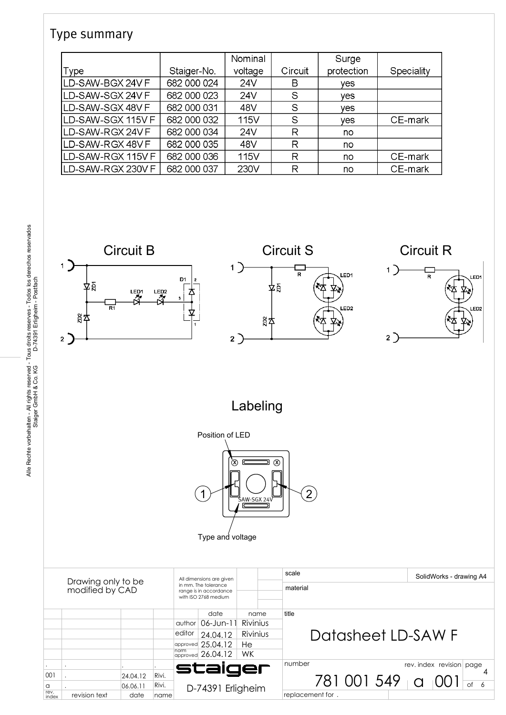#### Type summary

|                           |             | Nominal |         | Surge      |            |
|---------------------------|-------------|---------|---------|------------|------------|
| Type                      | Staiger-No. | voltage | Circuit | protection | Speciality |
| ILD-SAW-BGX 24V F         | 682 000 024 | 24V     | в       | <b>Ves</b> |            |
| ILD-SAW-SGX 24V F         | 682 000 023 | 24V     | S       | <b>Ves</b> |            |
| <b>ILD-SAW-SGX 48V F</b>  | 682 000 031 | 48V     | S       | ves        |            |
| ILD-SAW-SGX 115V F        | 682 000 032 | 115V    | S       | <b>Ves</b> | CE-mark    |
| ILD-SAW-RGX 24V F         | 682 000 034 | 24V     | R       | no         |            |
| ILD-SAW-RGX 48V F         | 682 000 035 | 48V     | R       | no         |            |
| <b>ILD-SAW-RGX 115V F</b> | 682 000 036 | 115V    | R       | no         | CE-mark    |
| ILD-SAW-RGX 230V F        | 682 000 037 | 230V    | R       | no         | CE-mark    |

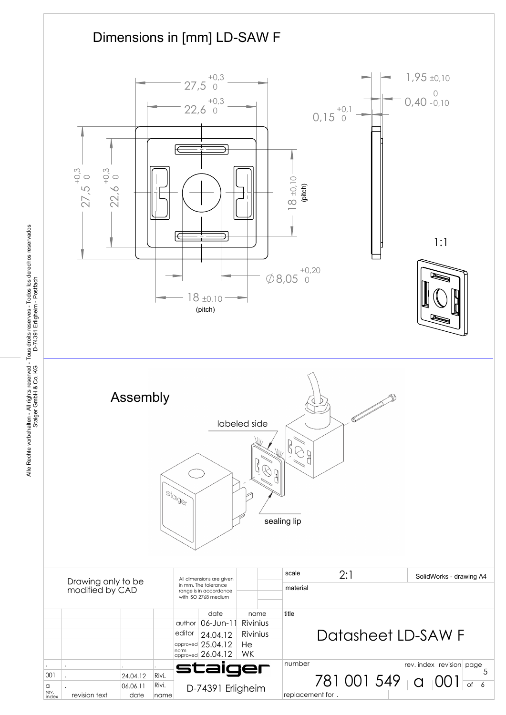

Alle Rechte vorbehalten - All rights reserved - Tous droits reserves - Todos los derechos reservados<br>Staiger GmbH & Co. KG D-74391 Erligheim - Postfach Alle Rechte vorbehalten - All rights reserved - Tous droits reserves - Todos los derechos reservados Staiger GmbH & Co. KG D-74391 Erligheim - Postfach